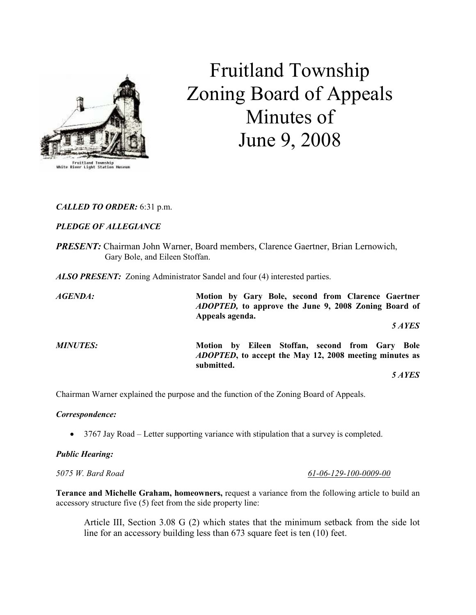

# Fruitland Township Zoning Board of Appeals Minutes of June 9, 2008

# CALLED TO ORDER: 6:31 p.m.

# PLEDGE OF ALLEGIANCE

PRESENT: Chairman John Warner, Board members, Clarence Gaertner, Brian Lernowich, Gary Bole, and Eileen Stoffan.

ALSO PRESENT: Zoning Administrator Sandel and four (4) interested parties.

AGENDA: Motion by Gary Bole, second from Clarence Gaertner ADOPTED, to approve the June 9, 2008 Zoning Board of Appeals agenda. 5 AYES MINUTES: Motion by Eileen Stoffan, second from Gary Bole ADOPTED, to accept the May 12, 2008 meeting minutes as submitted. 5 AYES

Chairman Warner explained the purpose and the function of the Zoning Board of Appeals.

### Correspondence:

• 3767 Jay Road – Letter supporting variance with stipulation that a survey is completed.

### Public Hearing:

Terance and Michelle Graham, homeowners, request a variance from the following article to build an accessory structure five (5) feet from the side property line:

Article III, Section 3.08 G (2) which states that the minimum setback from the side lot line for an accessory building less than 673 square feet is ten (10) feet.

5075 W. Bard Road 61-06-129-100-0009-00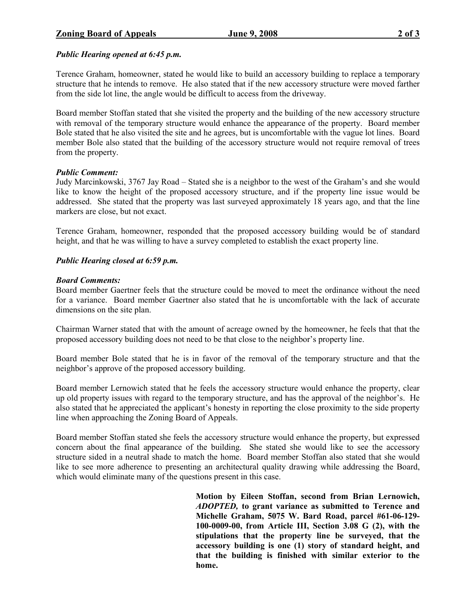Terence Graham, homeowner, stated he would like to build an accessory building to replace a temporary structure that he intends to remove. He also stated that if the new accessory structure were moved farther from the side lot line, the angle would be difficult to access from the driveway.

Board member Stoffan stated that she visited the property and the building of the new accessory structure with removal of the temporary structure would enhance the appearance of the property. Board member Bole stated that he also visited the site and he agrees, but is uncomfortable with the vague lot lines. Board member Bole also stated that the building of the accessory structure would not require removal of trees from the property.

### Public Comment:

Judy Marcinkowski, 3767 Jay Road – Stated she is a neighbor to the west of the Graham's and she would like to know the height of the proposed accessory structure, and if the property line issue would be addressed. She stated that the property was last surveyed approximately 18 years ago, and that the line markers are close, but not exact.

Terence Graham, homeowner, responded that the proposed accessory building would be of standard height, and that he was willing to have a survey completed to establish the exact property line.

## Public Hearing closed at 6:59 p.m.

### Board Comments:

Board member Gaertner feels that the structure could be moved to meet the ordinance without the need for a variance. Board member Gaertner also stated that he is uncomfortable with the lack of accurate dimensions on the site plan.

Chairman Warner stated that with the amount of acreage owned by the homeowner, he feels that that the proposed accessory building does not need to be that close to the neighbor's property line.

Board member Bole stated that he is in favor of the removal of the temporary structure and that the neighbor's approve of the proposed accessory building.

Board member Lernowich stated that he feels the accessory structure would enhance the property, clear up old property issues with regard to the temporary structure, and has the approval of the neighbor's. He also stated that he appreciated the applicant's honesty in reporting the close proximity to the side property line when approaching the Zoning Board of Appeals.

Board member Stoffan stated she feels the accessory structure would enhance the property, but expressed concern about the final appearance of the building. She stated she would like to see the accessory structure sided in a neutral shade to match the home. Board member Stoffan also stated that she would like to see more adherence to presenting an architectural quality drawing while addressing the Board, which would eliminate many of the questions present in this case.

> Motion by Eileen Stoffan, second from Brian Lernowich, ADOPTED, to grant variance as submitted to Terence and Michelle Graham, 5075 W. Bard Road, parcel #61-06-129- 100-0009-00, from Article III, Section 3.08 G (2), with the stipulations that the property line be surveyed, that the accessory building is one (1) story of standard height, and that the building is finished with similar exterior to the home.